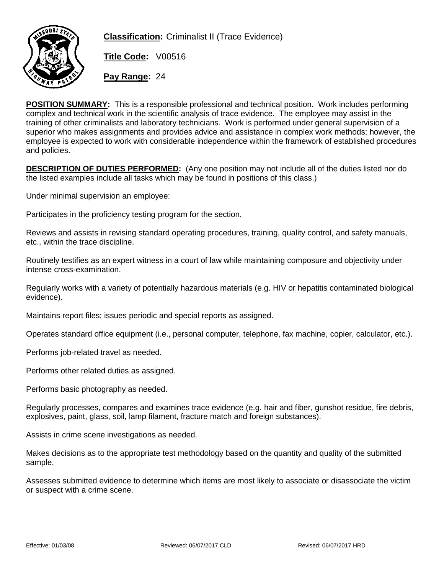

**Classification:** Criminalist II (Trace Evidence)

**Title Code:** V00516

**Pay Range:** 24

**POSITION SUMMARY:** This is a responsible professional and technical position. Work includes performing complex and technical work in the scientific analysis of trace evidence. The employee may assist in the training of other criminalists and laboratory technicians. Work is performed under general supervision of a superior who makes assignments and provides advice and assistance in complex work methods; however, the employee is expected to work with considerable independence within the framework of established procedures and policies.

**DESCRIPTION OF DUTIES PERFORMED:** (Any one position may not include all of the duties listed nor do the listed examples include all tasks which may be found in positions of this class.)

Under minimal supervision an employee:

Participates in the proficiency testing program for the section.

Reviews and assists in revising standard operating procedures, training, quality control, and safety manuals, etc., within the trace discipline.

Routinely testifies as an expert witness in a court of law while maintaining composure and objectivity under intense cross-examination.

Regularly works with a variety of potentially hazardous materials (e.g. HIV or hepatitis contaminated biological evidence).

Maintains report files; issues periodic and special reports as assigned.

Operates standard office equipment (i.e., personal computer, telephone, fax machine, copier, calculator, etc.).

Performs job-related travel as needed.

Performs other related duties as assigned.

Performs basic photography as needed.

Regularly processes, compares and examines trace evidence (e.g. hair and fiber, gunshot residue, fire debris, explosives, paint, glass, soil, lamp filament, fracture match and foreign substances).

Assists in crime scene investigations as needed.

Makes decisions as to the appropriate test methodology based on the quantity and quality of the submitted sample.

Assesses submitted evidence to determine which items are most likely to associate or disassociate the victim or suspect with a crime scene.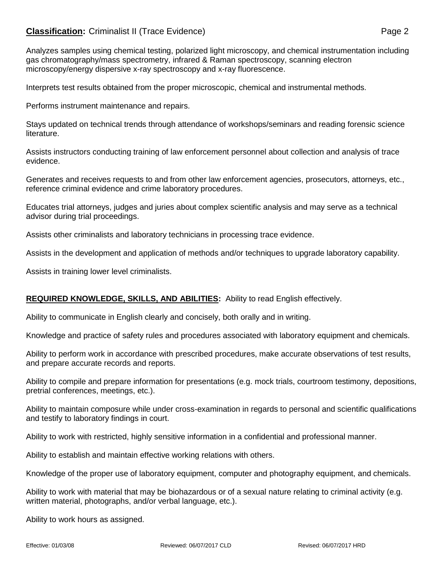# **Classification:** Criminalist II (Trace Evidence) **Page 2** Page 2

Analyzes samples using chemical testing, polarized light microscopy, and chemical instrumentation including gas chromatography/mass spectrometry, infrared & Raman spectroscopy, scanning electron microscopy/energy dispersive x-ray spectroscopy and x-ray fluorescence.

Interprets test results obtained from the proper microscopic, chemical and instrumental methods.

Performs instrument maintenance and repairs.

Stays updated on technical trends through attendance of workshops/seminars and reading forensic science literature.

Assists instructors conducting training of law enforcement personnel about collection and analysis of trace evidence.

Generates and receives requests to and from other law enforcement agencies, prosecutors, attorneys, etc., reference criminal evidence and crime laboratory procedures.

Educates trial attorneys, judges and juries about complex scientific analysis and may serve as a technical advisor during trial proceedings.

Assists other criminalists and laboratory technicians in processing trace evidence.

Assists in the development and application of methods and/or techniques to upgrade laboratory capability.

Assists in training lower level criminalists.

## **REQUIRED KNOWLEDGE, SKILLS, AND ABILITIES:** Ability to read English effectively.

Ability to communicate in English clearly and concisely, both orally and in writing.

Knowledge and practice of safety rules and procedures associated with laboratory equipment and chemicals.

Ability to perform work in accordance with prescribed procedures, make accurate observations of test results, and prepare accurate records and reports.

Ability to compile and prepare information for presentations (e.g. mock trials, courtroom testimony, depositions, pretrial conferences, meetings, etc.).

Ability to maintain composure while under cross-examination in regards to personal and scientific qualifications and testify to laboratory findings in court.

Ability to work with restricted, highly sensitive information in a confidential and professional manner.

Ability to establish and maintain effective working relations with others.

Knowledge of the proper use of laboratory equipment, computer and photography equipment, and chemicals.

Ability to work with material that may be biohazardous or of a sexual nature relating to criminal activity (e.g. written material, photographs, and/or verbal language, etc.).

Ability to work hours as assigned.